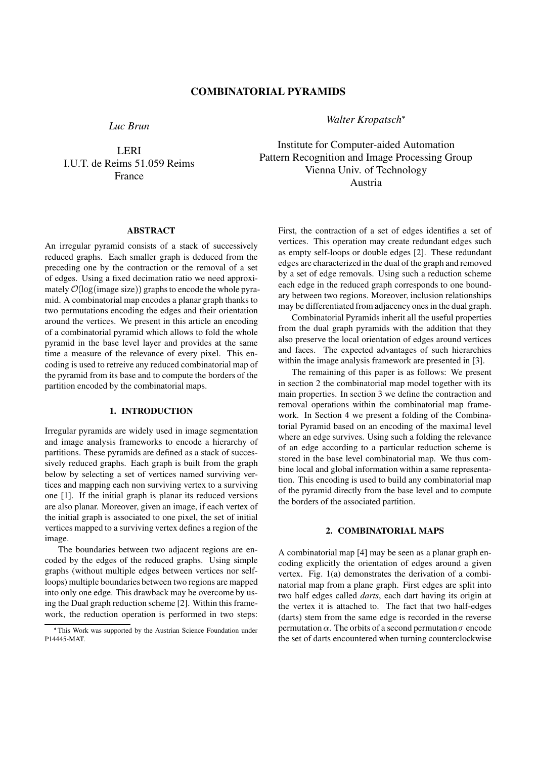*Luc Brun*

LERI I.U.T. de Reims 51.059 Reims France

*Walter Kropatsch*

Institute for Computer-aided Automation Pattern Recognition and Image Processing Group Vienna Univ. of Technology Austria

# **ABSTRACT**

An irregular pyramid consists of a stack of successively reduced graphs. Each smaller graph is deduced from the preceding one by the contraction or the removal of a set of edges. Using a fixed decimation ratio we need approximately  $\mathcal{O}(\log(\text{image size}))$  graphs to encode the whole pyramid. A combinatorial map encodes a planar graph thanks to two permutations encoding the edges and their orientation around the vertices. We present in this article an encoding of a combinatorial pyramid which allows to fold the whole pyramid in the base level layer and provides at the same time a measure of the relevance of every pixel. This encoding is used to retreive any reduced combinatorial map of the pyramid from its base and to compute the borders of the partition encoded by the combinatorial maps.

# **1. INTRODUCTION**

Irregular pyramids are widely used in image segmentation and image analysis frameworks to encode a hierarchy of partitions. These pyramids are defined as a stack of successively reduced graphs. Each graph is built from the graph below by selecting a set of vertices named surviving vertices and mapping each non surviving vertex to a surviving one [1]. If the initial graph is planar its reduced versions are also planar. Moreover, given an image, if each vertex of the initial graph is associated to one pixel, the set of initial vertices mapped to a surviving vertex defines a region of the image.

The boundaries between two adjacent regions are encoded by the edges of the reduced graphs. Using simple graphs (without multiple edges between vertices nor selfloops) multiple boundaries between two regions are mapped into only one edge. This drawback may be overcome by using the Dual graph reduction scheme [2]. Within this framework, the reduction operation is performed in two steps: First, the contraction of a set of edges identifies a set of vertices. This operation may create redundant edges such as empty self-loops or double edges [2]. These redundant edges are characterized in the dual of the graph and removed by a set of edge removals. Using such a reduction scheme each edge in the reduced graph corresponds to one boundary between two regions. Moreover, inclusion relationships may be differentiated from adjacency onesin the dual graph.

Combinatorial Pyramids inherit all the useful properties from the dual graph pyramids with the addition that they also preserve the local orientation of edges around vertices and faces. The expected advantages of such hierarchies within the image analysis framework are presented in [3].

The remaining of this paper is as follows: We present in section 2 the combinatorial map model together with its main properties. In section 3 we define the contraction and removal operations within the combinatorial map framework. In Section 4 we present a folding of the Combinatorial Pyramid based on an encoding of the maximal level where an edge survives. Using such a folding the relevance of an edge according to a particular reduction scheme is stored in the base level combinatorial map. We thus combine local and global information within a same representation. This encoding is used to build any combinatorial map of the pyramid directly from the base level and to compute the borders of the associated partition.

# **2. COMBINATORIAL MAPS**

A combinatorial map [4] may be seen as a planar graph encoding explicitly the orientation of edges around a given vertex. Fig. 1(a) demonstrates the derivation of a combinatorial map from a plane graph. First edges are split into two half edges called *darts*, each dart having its origin at the vertex it is attached to. The fact that two half-edges (darts) stem from the same edge is recorded in the reverse permutation  $\alpha$ . The orbits of a second permutation  $\sigma$  encode the set of darts encountered when turning counterclockwise

 This Work was supported by the Austrian Science Foundation under P14445-MAT.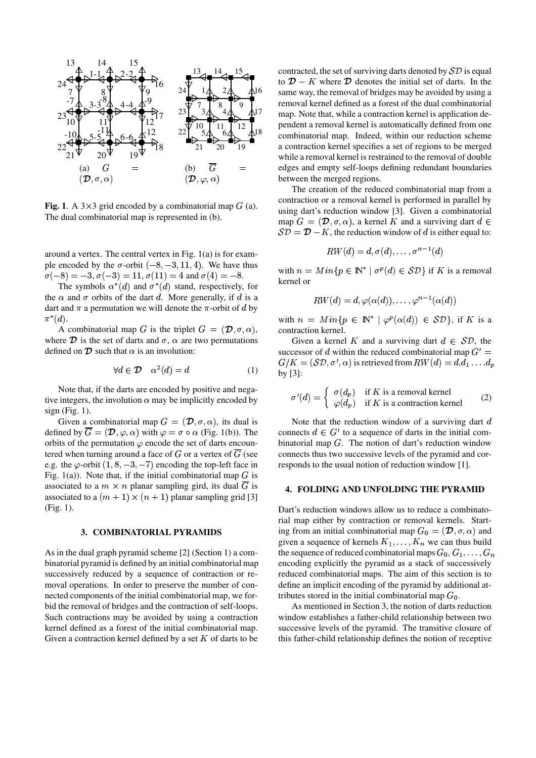

**Fig.** 1. A  $3 \times 3$  grid encoded by a combinatorial map  $G$  (a). The dual combinatorial map is represented in (b).

around a vertex. The central vertex in Fig. 1(a) is for example encoded by the  $\sigma$ -orbit  $(-8, -3, 11, 4)$ . We have thus  $\sigma(-8) = -3, \sigma(-3) = 11, \sigma(11) = 4 \text{ and } \sigma(4) = -8.$ 

The symbols  $\alpha^*(d)$  and  $\sigma^*(d)$  stand, respectively, for the  $\alpha$  and  $\sigma$  orbits of the dart d. More generally, if d is a dart and  $\pi$  a permutation we will denote the  $\pi$ -orbit of d by  $\pi^*(d).$ 

A combinatorial map G is the triplet  $G = (\mathcal{D}, \sigma, \alpha)$ , combinatorial map G is the triplet  $G = (\mathcal{D}, \sigma, \alpha)$ , where  $\mathcal D$  is the set of darts and  $\sigma$ ,  $\alpha$  are two permutations defined on  $\mathcal D$  such that  $\alpha$  is an involution:

$$
\forall d \in \mathcal{D} \quad \alpha^2(d) = d \tag{1}
$$

Note that, if the darts are encoded by positive and negative integers, the involution  $\alpha$  may be implicitly encoded by  $sign(Fig. 1)$ .

Given a combinatorial map  $G = (\mathcal{D}, \sigma, \alpha)$ , its dual is defined by  $G = (\mathcal{D}, \varphi, \alpha)$  with  $\varphi = \sigma \circ \alpha$  (Fig. 1(b)). The orbits of the permutation  $\varphi$  encode the set of darts encountered when turning around a face of G or a vertex of  $\overline{G}$  (see e.g. the  $\varphi$ -orbit  $(1, 8, -3, -7)$  encoding the top-left face in Fig. 1(a)). Note that, if the initial combinatorial map  $G$  is associated to a  $m \times n$  planar sampling gird, its dual  $\overline{G}$  is associated to a  $(m + 1) \times (n + 1)$  planar sampling grid [3] (Fig. 1).

### **3. COMBINATORIAL PYRAMIDS**

As in the dual graph pyramid scheme [2] (Section 1) a combinatorial pyramid is defined by an initial combinatorial map successively reduced by a sequence of contraction or removal operations. In order to preserve the number of connected components of the initial combinatorial map, we forbid the removal of bridges and the contraction of self-loops. Such contractions may be avoided by using a contraction kernel defined as a forest of the initial combinatorial map. Given a contraction kernel defined by a set  $K$  of darts to be

 $1\text{A}$ ,  $2\text{A}$ ,  $4^{16}$  same way, the removal of bridges may be avoided by using a  $3\textstyle{\bigoplus}$ ,  $4\textstyle{\bigoplus}$ ,  $\textstyle{\bigoplus}^{17}$  map. Note that, while a contraction kernel is application de- $54 \times 64$   $4^{18}$  combinatorial map. Indeed, within our reduction scheme  $13$   $14$   $15$   $-$  contracted, the set of surviving darts denoted by  $\mathcal{SD}$  is equal (b)  $\overline{G}$  = edges and empty self-loops defining redundant boundaries to  $\mathcal{D} - K$  where  $\mathcal{D}$  denotes the initial set of darts. In the removal kernel defined as a forest of the dual combinatorial pendent a removal kernel is automatically defined from one a contraction kernel specifies a set of regions to be merged while a removal kernel is restrained to the removal of double between the merged regions.

> The creation of the reduced combinatorial map from a contraction or a removal kernel is performed in parallel by using dart's reduction window [3]. Given a combinatorial map  $G = (\mathcal{D}, \sigma, \alpha)$ , a kernel K and a surviving dart  $d \in$  $SD = D - K$ , the reduction window of d is either equal to:

$$
RW(d)=d, \sigma(d), \ldots, \sigma^{n-1}(d)
$$

with  $n = Min\{p \in \mathbb{N}^* \mid \sigma^p(d) \in \mathcal{SD}\}\$ if K is a removal kernel or

$$
RW(d) = d, \varphi(\alpha(d)), \ldots, \varphi^{n-1}(\alpha(d))
$$

with  $n = Min\{p \in \mathbb{N}^* \mid \varphi^p(\alpha(d)) \in \mathcal{SD}\}\text{, if } K \text{ is a }$ contraction kernel.

Given a kernel K and a surviving dart  $d \in SD$ , the successor of d within the reduced combinatorial map  $G' =$  $G/K = (\mathcal{SD}, \sigma', \alpha)$  is retrieved from  $RW(d) = d.d_1 \dots d_p$ by [3]:

$$
\sigma'(d) = \begin{cases} \sigma(d_p) & \text{if } K \text{ is a removal kernel} \\ \varphi(d_p) & \text{if } K \text{ is a contraction kernel} \end{cases}
$$
 (2)

Note that the reduction window of a surviving dart  $d$ connects  $d \in G'$  to a sequence of darts in the initial combinatorial map  $G$ . The notion of dart's reduction window connects thus two successive levels of the pyramid and corresponds to the usual notion of reduction window [1].

#### **4. FOLDING AND UNFOLDING THE PYRAMID**

Dart's reduction windows allow us to reduce a combinatorial map either by contraction or removal kernels. Starting from an initial combinatorial map  $G_0 = (\mathcal{D}, \sigma, \alpha)$  and given a sequence of kernels  $K_1, \ldots, K_n$  we can thus build the sequence of reduced combinatorial maps  $G_0, G_1, \ldots, G_n$ encoding explicitly the pyramid as a stack of successively reduced combinatorial maps. The aim of this section is to define an implicit encoding of the pyramid by additional attributes stored in the initial combinatorial map  $G_0$ .

As mentioned in Section 3, the notion of darts reduction window establishes a father-child relationship between two successive levels of the pyramid. The transitive closure of this father-child relationship defines the notion of receptive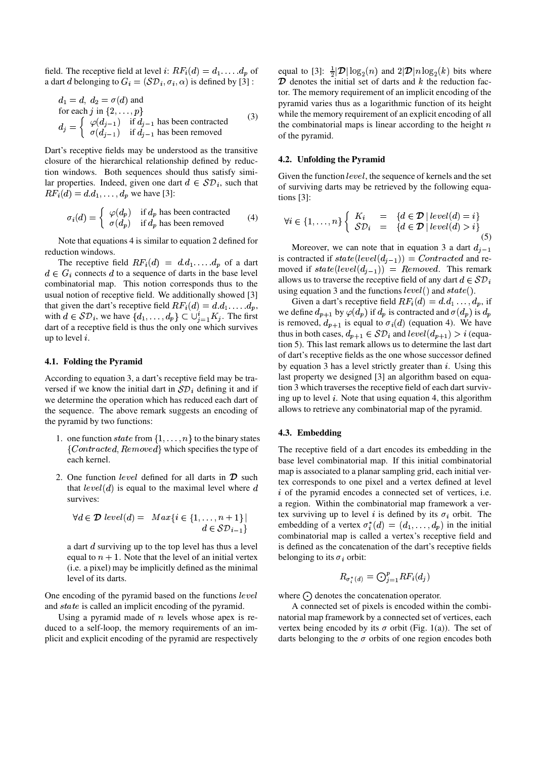field. The receptive field at level i:  $RF_i(d) = d_1 \dots d_p$  of equivalently a dart *d* belonging to  $G_i = (\mathcal{SD}_i, \sigma_i, \alpha)$  is defined by [3] :

$$
d_1 = d, d_2 = \sigma(d) \text{ and}
$$
  
for each  $j$  in  $\{2, ..., p\}$   

$$
d_j = \begin{cases} \varphi(d_{j-1}) & \text{if } d_{j-1} \text{ has been contracted} \\ \sigma(d_{j-1}) & \text{if } d_{j-1} \text{ has been removed} \end{cases}
$$
(3)

Dart's receptive fields may be understood as the transitive closure of the hierarchical relationship defined by reduction windows. Both sequences should thus satisfy similar properties. Indeed, given one dart  $d \in \mathcal{SD}_i$ , such that  $RF_i(d) = d.d_1, \ldots, d_p$  we have [3]:

$$
\sigma_i(d) = \begin{cases} \varphi(d_p) & \text{if } d_p \text{ has been contracted} \\ \sigma(d_p) & \text{if } d_p \text{ has been removed} \end{cases}
$$
 (4)

Note that equations 4 is similar to equation 2 defined for reduction windows.

The receptive field  $RF_i(d) = d.d_1 \ldots d_p$  of a dart  $d \in G_i$  connects d to a sequence of darts in the base level combinatorial map. This notion corresponds thus to the usual notion of receptive field. We additionally showed [3] that given the dart's receptive field  $RF_i(d) = d.d_1 \dots d_p$ , with  $d \in \mathcal{SD}_i$ , we have  $\{d_1, \ldots, d_p\} \subset \bigcup_{j=1}^i K_j$ . The first  $\bigcup_{j=1}^{\infty} K_j$ dart of a receptive field is thus the only one which survives up to level  $i$ .

#### **4.1. Folding the Pyramid**

According to equation 3, a dart's receptive field may be traversed if we know the initial dart in  $\mathcal{SD}_i$  defining it and if we determine the operation which has reduced each dart of the sequence. The above remark suggests an encoding of the pyramid by two functions:

- 1. one function state from  $\{1,\ldots,n\}$  to the binary states  ${Control, Removed}$  which specifies the type of each kernel.
- 2. One function *level* defined for all darts in  $\mathcal{D}$  such the correction that  $level(d)$  is equal to the maximal level where  $d = \frac{1}{i}$  of t survives:

$$
\forall d \in \mathcal{D} \ level(d) = \ Max\{i \in \{1, \dots, n+1\} \mid d \in \mathcal{SD}_{i-1}\}
$$

a dart  $d$  surviving up to the top level has thus a level equal to  $n + 1$ . Note that the level of an initial vertex (i.e. a pixel) may be implicitly defined as the minimal level of its darts.

One encoding of the pyramid based on the functions  $level$ and  $state$  is called an implicit encoding of the pyramid.

Using a pyramid made of  $n$  levels whose apex is reduced to a self-loop, the memory requirements of an implicit and explicit encoding of the pyramid are respectively

equal to  $[3]$ :  $\frac{1}{2}|\mathcal{D}| \log_2(n)$  and  $2|\mathcal{D}|n \log_2(k)$  bits where  $\mathcal D$  denotes the initial set of darts and  $k$  the reduction factor. The memory requirement of an implicit encoding of the pyramid varies thus as a logarithmic function of its height while the memory requirement of an explicit encoding of all the combinatorial maps is linear according to the height  $n$ of the pyramid.

## **4.2. Unfolding the Pyramid**

Given the function  $level$ , the sequence of kernels and the set of surviving darts may be retrieved by the following equations [3]:

$$
\forall i \in \{1, ..., n\} \left\{ \begin{array}{rcl} K_i & = & \{d \in \mathcal{D} \mid level(d) = i\} \\ \mathcal{SD}_i & = & \{d \in \mathcal{D} \mid level(d) > i\} \\ \end{array} \right\} \tag{5}
$$

Moreover, we can note that in equation 3 a dart  $d_{j-1}$ is contracted if  $state(level(d_{j-1})) = Contracted$  and removed if  $state(level(d_{j-1})) = Removed$ . This remark allows us to traverse the receptive field of any dart  $d \in \mathcal{SD}_i$ using equation 3 and the functions  $level()$  and  $state()$ .

we define  $d_{p+1}$  by  $\varphi(d_p)$  if  $d_p$  is contracted and  $\sigma(d_p)$  is  $d_p$ Given a dart's receptive field  $RF_i(d) = d.d_1 \dots, d_p$ , if is removed,  $d_{p+1}$  is equal to  $\sigma_i(d)$  (equation 4). We have thus in both cases,  $d_{p+1} \in \mathcal{SD}_i$  and  $level(d_{p+1}) > i$  (equation 5). This last remark allows us to determine the last dart of dart's receptive fields as the one whose successor defined by equation 3 has a level strictly greater than  $i$ . Using this last property we designed [3] an algorithm based on equation 3 which traverses the receptive field of each dart surviving up to level  $i$ . Note that using equation 4, this algorithm allows to retrieve any combinatorial map of the pyramid.

# **4.3. Embedding**

The receptive field of a dart encodes its embedding in the base level combinatorial map. If this initial combinatorial map is associated to a planar sampling grid, each initial vertex corresponds to one pixel and a vertex defined at level  $i$  of the pyramid encodes a connected set of vertices, i.e. a region. Within the combinatorial map framework a vertex surviving up to level i is defined by its  $\sigma_i$  orbit. The embedding of a vertex  $\sigma_i^*(d) = (d_1, \ldots, d_p)$  in the initial combinatorial map is called a vertex's receptive field and is defined as the concatenation of the dart's receptive fields belonging to its  $\sigma_i$  orbit:

$$
R_{\sigma_i^*(d)} = \bigodot_{j=1}^p RF_i(d_j)
$$

where  $\odot$  denotes the concatenation operator.

A connected set of pixels is encoded within the combinatorial map framework by a connected set of vertices, each vertex being encoded by its  $\sigma$  orbit (Fig. 1(a)). The set of darts belonging to the  $\sigma$  orbits of one region encodes both